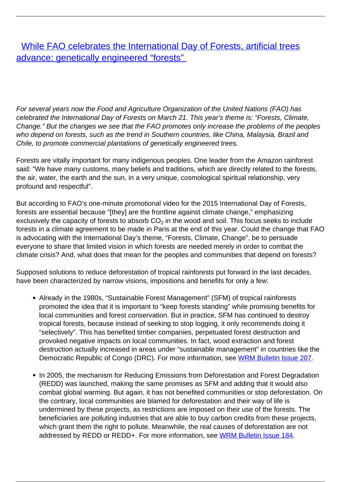## [While FAO celebrates the International Day of Forests, artificial trees](/bulletin-articles/while-fao-celebrates-the-international-day-of-forests-artificial-trees-advance-genetically-engineered) [advance: genetically engineered "forests"](/bulletin-articles/while-fao-celebrates-the-international-day-of-forests-artificial-trees-advance-genetically-engineered)

For several years now the Food and Agriculture Organization of the United Nations (FAO) has celebrated the International Day of Forests on March 21. This year's theme is: "Forests, Climate, Change." But the changes we see that the FAO promotes only increase the problems of the peoples who depend on forests, such as the trend in Southern countries, like China, Malaysia, Brazil and Chile, to promote commercial plantations of genetically engineered trees.

Forests are vitally important for many indigenous peoples. One leader from the Amazon rainforest said: "We have many customs, many beliefs and traditions, which are directly related to the forests, the air, water, the earth and the sun, in a very unique, cosmological spiritual relationship, very profound and respectful".

But according to FAO's one-minute promotional video for the 2015 International Day of Forests, forests are essential because "[they] are the frontline against climate change," emphasizing exclusively the capacity of forests to absorb CO $_2$  in the wood and soil. This focus seeks to include forests in a climate agreement to be made in Paris at the end of this year. Could the change that FAO is advocating with the International Day's theme, "Forests, Climate, Change", be to persuade everyone to share that limited vision in which forests are needed merely in order to combat the climate crisis? And, what does that mean for the peoples and communities that depend on forests?

Supposed solutions to reduce deforestation of tropical rainforests put forward in the last decades, have been characterized by narrow visions, impositions and benefits for only a few:

- Already in the 1980s, "Sustainable Forest Management" (SFM) of tropical rainforests promoted the idea that it is important to "keep forests standing" while promising benefits for local communities and forest conservation. But in practice, SFM has continued to destroy tropical forests, because instead of seeking to stop logging, it only recommends doing it "selectively". This has benefited timber companies, perpetuated forest destruction and provoked negative impacts on local communities. In fact, wood extraction and forest destruction actually increased in areas under "sustainable management" in countries like the Democratic Republic of Congo (DRC). For more information, see [WRM Bulletin Issue 207.](http://wrm.org.uy/bulletins/issue-207/)
- In 2005, the mechanism for Reducing Emissions from Deforestation and Forest Degradation (REDD) was launched, making the same promises as SFM and adding that it would also combat global warming. But again, it has not benefited communities or stop deforestation. On the contrary, local communities are blamed for deforestation and their way of life is undermined by these projects, as restrictions are imposed on their use of the forests. The beneficiaries are polluting industries that are able to buy carbon credits from these projects, which grant them the right to pollute. Meanwhile, the real causes of deforestation are not addressed by REDD or REDD+. For more information, see [WRM Bulletin Issue 184.](http://wrm.org.uy/bulletins/issue-184/)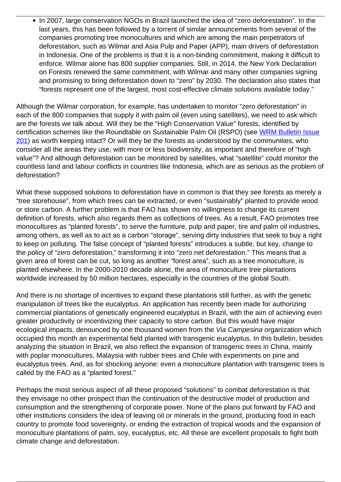• In 2007, large conservation NGOs in Brazil launched the idea of "zero deforestation". In the last years, this has been followed by a torrent of similar announcements from several of the companies promoting tree monocultures and which are among the main perpetrators of deforestation, such as Wilmar and Asia Pulp and Paper (APP), main drivers of deforestation in Indonesia. One of the problems is that it is a non-binding commitment, making it difficult to enforce. Wilmar alone has 800 supplier companies. Still, in 2014, the New York Declaration on Forests renewed the same commitment, with Wilmar and many other companies signing and promising to bring deforestation down to "zero" by 2030. The declaration also states that "forests represent one of the largest, most cost-effective climate solutions available today."

Although the Wilmar corporation, for example, has undertaken to monitor "zero deforestation" in each of the 800 companies that supply it with palm oil (even using satellites), we need to ask which are the forests we talk about. Will they be the "High Conservation Value" forests, identified by certification schemes like the Roundtable on Sustainable Palm Oil (RSPO) (see [WRM Bulletin Issue](http://wrm.org.uy/bulletins/issue-201/) [201](http://wrm.org.uy/bulletins/issue-201/)) as worth keeping intact? Or will they be the forests as understood by the communities, who consider all the areas they use, with more or less biodiversity, as important and therefore of "high value"? And although deforestation can be monitored by satellites, what "satellite" could monitor the countless land and labour conflicts in countries like Indonesia, which are as serious as the problem of deforestation?

What these supposed solutions to deforestation have in common is that they see forests as merely a "tree storehouse", from which trees can be extracted, or even "sustainably" planted to provide wood or store carbon. A further problem is that FAO has shown no willingness to change its current definition of forests, which also regards them as collections of trees. As a result, FAO promotes tree monocultures as "planted forests", to serve the furniture, pulp and paper, tire and palm oil industries, among others, as well as to act as a carbon "storage", serving dirty industries that seek to buy a right to keep on polluting. The false concept of "planted forests" introduces a subtle, but key, change to the policy of "zero deforestation," transforming it into "zero net deforestation." This means that a given area of forest can be cut, so long as another "forest area", such as a tree monoculture, is planted elsewhere. In the 2000-2010 decade alone, the area of monoculture tree plantations worldwide increased by 50 million hectares, especially in the countries of the global South.

And there is no shortage of incentives to expand these plantations still further, as with the genetic manipulation of trees like the eucalyptus. An application has recently been made for authorizing commercial plantations of genetically engineered eucalyptus in Brazil, with the aim of achieving even greater productivity or incentivizing their capacity to store carbon. But this would have major ecological impacts, denounced by one thousand women from the Via Campesina organization which occupied this month an experimental field planted with transgenic eucalyptus. In this bulletin, besides analyzing the situation in Brazil, we also reflect the expansion of transgenic trees in China, mainly with poplar monocultures, Malaysia with rubber trees and Chile with experiments on pine and eucalyptus trees. And, as for shocking anyone: even a monoculture plantation with transgenic trees is called by the FAO as a "planted forest."

Perhaps the most serious aspect of all these proposed "solutions" to combat deforestation is that they envisage no other prospect than the continuation of the destructive model of production and consumption and the strengthening of corporate power. None of the plans put forward by FAO and other institutions considers the idea of leaving oil or minerals in the ground, producing food in each country to promote food sovereignty, or ending the extraction of tropical woods and the expansion of monoculture plantations of palm, soy, eucalyptus, etc. All these are excellent proposals to fight both climate change and deforestation.